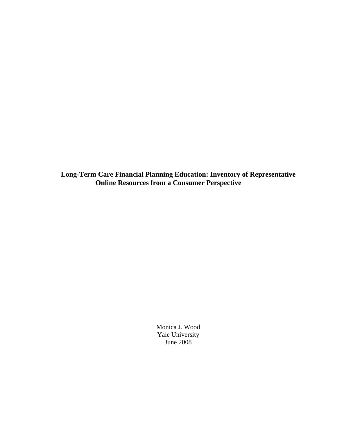**Long-Term Care Financial Planning Education: Inventory of Representative Online Resources from a Consumer Perspective** 

> Monica J. Wood Yale University June 2008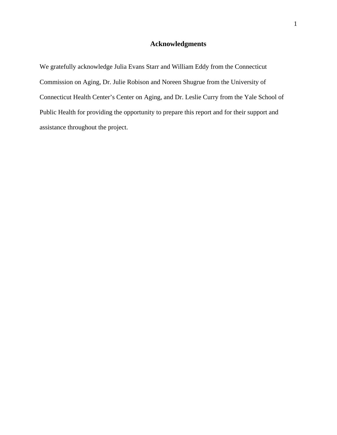## **Acknowledgments**

We gratefully acknowledge Julia Evans Starr and William Eddy from the Connecticut Commission on Aging, Dr. Julie Robison and Noreen Shugrue from the University of Connecticut Health Center's Center on Aging, and Dr. Leslie Curry from the Yale School of Public Health for providing the opportunity to prepare this report and for their support and assistance throughout the project.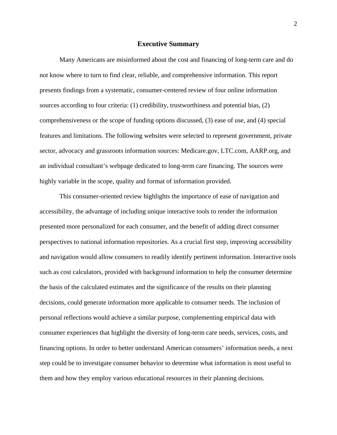#### **Executive Summary**

Many Americans are misinformed about the cost and financing of long-term care and do not know where to turn to find clear, reliable, and comprehensive information. This report presents findings from a systematic, consumer-centered review of four online information sources according to four criteria: (1) credibility, trustworthiness and potential bias, (2) comprehensiveness or the scope of funding options discussed, (3) ease of use, and (4) special features and limitations. The following websites were selected to represent government, private sector, advocacy and grassroots information sources: Medicare.gov, LTC.com, AARP.org, and an individual consultant's webpage dedicated to long-term care financing. The sources were highly variable in the scope, quality and format of information provided.

This consumer-oriented review highlights the importance of ease of navigation and accessibility, the advantage of including unique interactive tools to render the information presented more personalized for each consumer, and the benefit of adding direct consumer perspectives to national information repositories. As a crucial first step, improving accessibility and navigation would allow consumers to readily identify pertinent information. Interactive tools such as cost calculators, provided with background information to help the consumer determine the basis of the calculated estimates and the significance of the results on their planning decisions, could generate information more applicable to consumer needs. The inclusion of personal reflections would achieve a similar purpose, complementing empirical data with consumer experiences that highlight the diversity of long-term care needs, services, costs, and financing options. In order to better understand American consumers' information needs, a next step could be to investigate consumer behavior to determine what information is most useful to them and how they employ various educational resources in their planning decisions.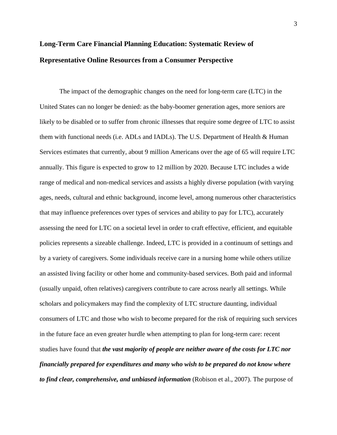# **Long-Term Care Financial Planning Education: Systematic Review of Representative Online Resources from a Consumer Perspective**

The impact of the demographic changes on the need for long-term care (LTC) in the United States can no longer be denied: as the baby-boomer generation ages, more seniors are likely to be disabled or to suffer from chronic illnesses that require some degree of LTC to assist them with functional needs (i.e. ADLs and IADLs). The U.S. Department of Health & Human Services estimates that currently, about 9 million Americans over the age of 65 will require LTC annually. This figure is expected to grow to 12 million by 2020. Because LTC includes a wide range of medical and non-medical services and assists a highly diverse population (with varying ages, needs, cultural and ethnic background, income level, among numerous other characteristics that may influence preferences over types of services and ability to pay for LTC), accurately assessing the need for LTC on a societal level in order to craft effective, efficient, and equitable policies represents a sizeable challenge. Indeed, LTC is provided in a continuum of settings and by a variety of caregivers. Some individuals receive care in a nursing home while others utilize an assisted living facility or other home and community-based services. Both paid and informal (usually unpaid, often relatives) caregivers contribute to care across nearly all settings. While scholars and policymakers may find the complexity of LTC structure daunting, individual consumers of LTC and those who wish to become prepared for the risk of requiring such services in the future face an even greater hurdle when attempting to plan for long-term care: recent studies have found that *the vast majority of people are neither aware of the costs for LTC nor financially prepared for expenditures and many who wish to be prepared do not know where to find clear, comprehensive, and unbiased information* (Robison et al., 2007). The purpose of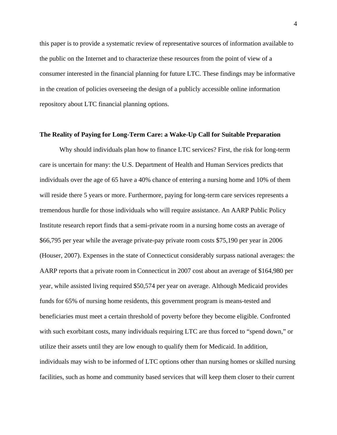this paper is to provide a systematic review of representative sources of information available to the public on the Internet and to characterize these resources from the point of view of a consumer interested in the financial planning for future LTC. These findings may be informative in the creation of policies overseeing the design of a publicly accessible online information repository about LTC financial planning options.

#### **The Reality of Paying for Long-Term Care: a Wake-Up Call for Suitable Preparation**

Why should individuals plan how to finance LTC services? First, the risk for long-term care is uncertain for many: the U.S. Department of Health and Human Services predicts that individuals over the age of 65 have a 40% chance of entering a nursing home and 10% of them will reside there 5 years or more. Furthermore, paying for long-term care services represents a tremendous hurdle for those individuals who will require assistance. An AARP Public Policy Institute research report finds that a semi-private room in a nursing home costs an average of \$66,795 per year while the average private-pay private room costs \$75,190 per year in 2006 (Houser, 2007). Expenses in the state of Connecticut considerably surpass national averages: the AARP reports that a private room in Connecticut in 2007 cost about an average of \$164,980 per year, while assisted living required \$50,574 per year on average. Although Medicaid provides funds for 65% of nursing home residents, this government program is means-tested and beneficiaries must meet a certain threshold of poverty before they become eligible. Confronted with such exorbitant costs, many individuals requiring LTC are thus forced to "spend down," or utilize their assets until they are low enough to qualify them for Medicaid. In addition, individuals may wish to be informed of LTC options other than nursing homes or skilled nursing facilities, such as home and community based services that will keep them closer to their current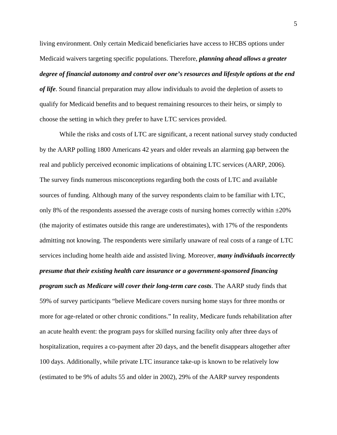living environment. Only certain Medicaid beneficiaries have access to HCBS options under Medicaid waivers targeting specific populations. Therefore, *planning ahead allows a greater degree of financial autonomy and control over one's resources and lifestyle options at the end of life*. Sound financial preparation may allow individuals to avoid the depletion of assets to qualify for Medicaid benefits and to bequest remaining resources to their heirs, or simply to choose the setting in which they prefer to have LTC services provided.

 While the risks and costs of LTC are significant, a recent national survey study conducted by the AARP polling 1800 Americans 42 years and older reveals an alarming gap between the real and publicly perceived economic implications of obtaining LTC services (AARP, 2006). The survey finds numerous misconceptions regarding both the costs of LTC and available sources of funding. Although many of the survey respondents claim to be familiar with LTC, only 8% of the respondents assessed the average costs of nursing homes correctly within  $\pm 20\%$ (the majority of estimates outside this range are underestimates), with 17% of the respondents admitting not knowing. The respondents were similarly unaware of real costs of a range of LTC services including home health aide and assisted living. Moreover, *many individuals incorrectly presume that their existing health care insurance or a government-sponsored financing program such as Medicare will cover their long-term care costs*. The AARP study finds that 59% of survey participants "believe Medicare covers nursing home stays for three months or more for age-related or other chronic conditions." In reality, Medicare funds rehabilitation after an acute health event: the program pays for skilled nursing facility only after three days of hospitalization, requires a co-payment after 20 days, and the benefit disappears altogether after 100 days. Additionally, while private LTC insurance take-up is known to be relatively low (estimated to be 9% of adults 55 and older in 2002), 29% of the AARP survey respondents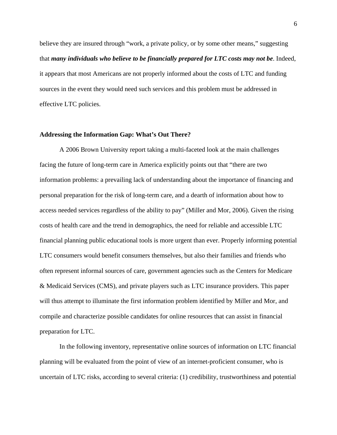believe they are insured through "work, a private policy, or by some other means," suggesting that *many individuals who believe to be financially prepared for LTC costs may not be*. Indeed, it appears that most Americans are not properly informed about the costs of LTC and funding sources in the event they would need such services and this problem must be addressed in effective LTC policies.

#### **Addressing the Information Gap: What's Out There?**

A 2006 Brown University report taking a multi-faceted look at the main challenges facing the future of long-term care in America explicitly points out that "there are two information problems: a prevailing lack of understanding about the importance of financing and personal preparation for the risk of long-term care, and a dearth of information about how to access needed services regardless of the ability to pay" (Miller and Mor, 2006). Given the rising costs of health care and the trend in demographics, the need for reliable and accessible LTC financial planning public educational tools is more urgent than ever. Properly informing potential LTC consumers would benefit consumers themselves, but also their families and friends who often represent informal sources of care, government agencies such as the Centers for Medicare & Medicaid Services (CMS), and private players such as LTC insurance providers. This paper will thus attempt to illuminate the first information problem identified by Miller and Mor, and compile and characterize possible candidates for online resources that can assist in financial preparation for LTC.

 In the following inventory, representative online sources of information on LTC financial planning will be evaluated from the point of view of an internet-proficient consumer, who is uncertain of LTC risks, according to several criteria: (1) credibility, trustworthiness and potential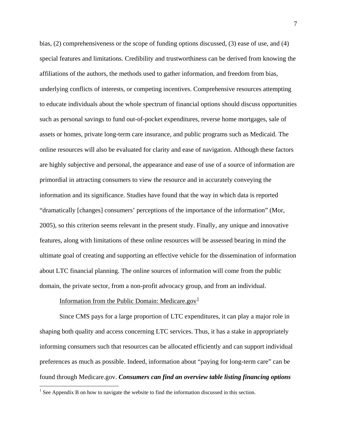<span id="page-7-0"></span>bias, (2) comprehensiveness or the scope of funding options discussed, (3) ease of use, and (4) special features and limitations. Credibility and trustworthiness can be derived from knowing the affiliations of the authors, the methods used to gather information, and freedom from bias, underlying conflicts of interests, or competing incentives. Comprehensive resources attempting to educate individuals about the whole spectrum of financial options should discuss opportunities such as personal savings to fund out-of-pocket expenditures, reverse home mortgages, sale of assets or homes, private long-term care insurance, and public programs such as Medicaid. The online resources will also be evaluated for clarity and ease of navigation. Although these factors are highly subjective and personal, the appearance and ease of use of a source of information are primordial in attracting consumers to view the resource and in accurately conveying the information and its significance. Studies have found that the way in which data is reported "dramatically [changes] consumers' perceptions of the importance of the information" (Mor, 2005), so this criterion seems relevant in the present study. Finally, any unique and innovative features, along with limitations of these online resources will be assessed bearing in mind the ultimate goal of creating and supporting an effective vehicle for the dissemination of information about LTC financial planning. The online sources of information will come from the public domain, the private sector, from a non-profit advocacy group, and from an individual.

## Information from the Public Domain: Medicare.gov<sup>[1](#page-7-0)</sup>

<u>.</u>

Since CMS pays for a large proportion of LTC expenditures, it can play a major role in shaping both quality and access concerning LTC services. Thus, it has a stake in appropriately informing consumers such that resources can be allocated efficiently and can support individual preferences as much as possible. Indeed, information about "paying for long-term care" can be found through Medicare.gov. *Consumers can find an overview table listing financing options*

<sup>&</sup>lt;sup>1</sup> See Appendix B on how to navigate the website to find the information discussed in this section.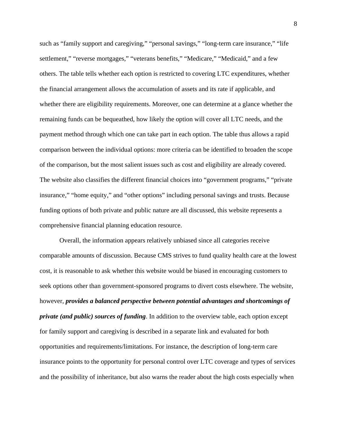such as "family support and caregiving," "personal savings," "long-term care insurance," "life settlement," "reverse mortgages," "veterans benefits," "Medicare," "Medicaid," and a few others. The table tells whether each option is restricted to covering LTC expenditures, whether the financial arrangement allows the accumulation of assets and its rate if applicable, and whether there are eligibility requirements. Moreover, one can determine at a glance whether the remaining funds can be bequeathed, how likely the option will cover all LTC needs, and the payment method through which one can take part in each option. The table thus allows a rapid comparison between the individual options: more criteria can be identified to broaden the scope of the comparison, but the most salient issues such as cost and eligibility are already covered. The website also classifies the different financial choices into "government programs," "private insurance," "home equity," and "other options" including personal savings and trusts. Because funding options of both private and public nature are all discussed, this website represents a comprehensive financial planning education resource.

Overall, the information appears relatively unbiased since all categories receive comparable amounts of discussion. Because CMS strives to fund quality health care at the lowest cost, it is reasonable to ask whether this website would be biased in encouraging customers to seek options other than government-sponsored programs to divert costs elsewhere. The website, however, *provides a balanced perspective between potential advantages and shortcomings of private (and public) sources of funding*. In addition to the overview table, each option except for family support and caregiving is described in a separate link and evaluated for both opportunities and requirements/limitations. For instance, the description of long-term care insurance points to the opportunity for personal control over LTC coverage and types of services and the possibility of inheritance, but also warns the reader about the high costs especially when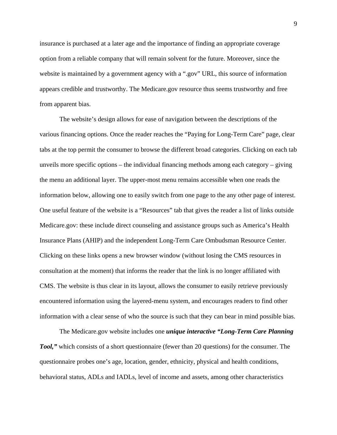insurance is purchased at a later age and the importance of finding an appropriate coverage option from a reliable company that will remain solvent for the future. Moreover, since the website is maintained by a government agency with a ".gov" URL, this source of information appears credible and trustworthy. The Medicare.gov resource thus seems trustworthy and free from apparent bias.

The website's design allows for ease of navigation between the descriptions of the various financing options. Once the reader reaches the "Paying for Long-Term Care" page, clear tabs at the top permit the consumer to browse the different broad categories. Clicking on each tab unveils more specific options – the individual financing methods among each category – giving the menu an additional layer. The upper-most menu remains accessible when one reads the information below, allowing one to easily switch from one page to the any other page of interest. One useful feature of the website is a "Resources" tab that gives the reader a list of links outside Medicare.gov: these include direct counseling and assistance groups such as America's Health Insurance Plans (AHIP) and the independent Long-Term Care Ombudsman Resource Center. Clicking on these links opens a new browser window (without losing the CMS resources in consultation at the moment) that informs the reader that the link is no longer affiliated with CMS. The website is thus clear in its layout, allows the consumer to easily retrieve previously encountered information using the layered-menu system, and encourages readers to find other information with a clear sense of who the source is such that they can bear in mind possible bias.

 The Medicare.gov website includes one *unique interactive "Long-Term Care Planning Tool,"* which consists of a short questionnaire (fewer than 20 questions) for the consumer. The questionnaire probes one's age, location, gender, ethnicity, physical and health conditions, behavioral status, ADLs and IADLs, level of income and assets, among other characteristics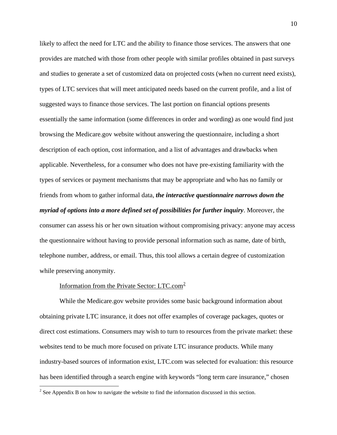<span id="page-10-0"></span>likely to affect the need for LTC and the ability to finance those services. The answers that one provides are matched with those from other people with similar profiles obtained in past surveys and studies to generate a set of customized data on projected costs (when no current need exists), types of LTC services that will meet anticipated needs based on the current profile, and a list of suggested ways to finance those services. The last portion on financial options presents essentially the same information (some differences in order and wording) as one would find just browsing the Medicare.gov website without answering the questionnaire, including a short description of each option, cost information, and a list of advantages and drawbacks when applicable. Nevertheless, for a consumer who does not have pre-existing familiarity with the types of services or payment mechanisms that may be appropriate and who has no family or friends from whom to gather informal data, *the interactive questionnaire narrows down the myriad of options into a more defined set of possibilities for further inquiry*. Moreover, the consumer can assess his or her own situation without compromising privacy: anyone may access the questionnaire without having to provide personal information such as name, date of birth, telephone number, address, or email. Thus, this tool allows a certain degree of customization while preserving anonymity.

#### Information from the Private Sector:  $LTC.com<sup>2</sup>$  $LTC.com<sup>2</sup>$  $LTC.com<sup>2</sup>$

 $\overline{a}$ 

 While the Medicare.gov website provides some basic background information about obtaining private LTC insurance, it does not offer examples of coverage packages, quotes or direct cost estimations. Consumers may wish to turn to resources from the private market: these websites tend to be much more focused on private LTC insurance products. While many industry-based sources of information exist, LTC.com was selected for evaluation: this resource has been identified through a search engine with keywords "long term care insurance," chosen

 $2^2$  See Appendix B on how to navigate the website to find the information discussed in this section.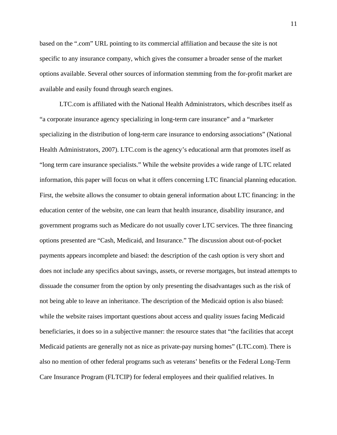based on the ".com" URL pointing to its commercial affiliation and because the site is not specific to any insurance company, which gives the consumer a broader sense of the market options available. Several other sources of information stemming from the for-profit market are available and easily found through search engines.

LTC.com is affiliated with the National Health Administrators, which describes itself as "a corporate insurance agency specializing in long-term care insurance" and a "marketer specializing in the distribution of long-term care insurance to endorsing associations" (National Health Administrators, 2007). LTC.com is the agency's educational arm that promotes itself as "long term care insurance specialists." While the website provides a wide range of LTC related information, this paper will focus on what it offers concerning LTC financial planning education. First, the website allows the consumer to obtain general information about LTC financing: in the education center of the website, one can learn that health insurance, disability insurance, and government programs such as Medicare do not usually cover LTC services. The three financing options presented are "Cash, Medicaid, and Insurance." The discussion about out-of-pocket payments appears incomplete and biased: the description of the cash option is very short and does not include any specifics about savings, assets, or reverse mortgages, but instead attempts to dissuade the consumer from the option by only presenting the disadvantages such as the risk of not being able to leave an inheritance. The description of the Medicaid option is also biased: while the website raises important questions about access and quality issues facing Medicaid beneficiaries, it does so in a subjective manner: the resource states that "the facilities that accept Medicaid patients are generally not as nice as private-pay nursing homes" (LTC.com). There is also no mention of other federal programs such as veterans' benefits or the Federal Long-Term Care Insurance Program (FLTCIP) for federal employees and their qualified relatives. In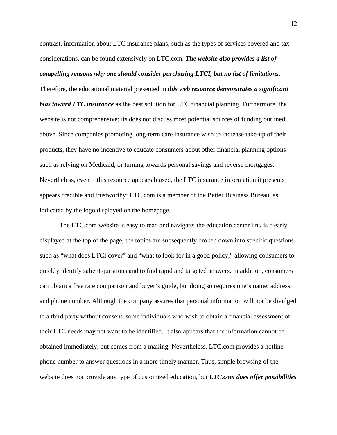contrast, information about LTC insurance plans, such as the types of services covered and tax considerations, can be found extensively on LTC.com. *The website also provides a list of* 

## *compelling reasons why one should consider purchasing LTCI, but no list of limitations*.

Therefore, the educational material presented in *this web resource demonstrates a significant bias toward LTC insurance* as the best solution for LTC financial planning. Furthermore, the website is not comprehensive: its does not discuss most potential sources of funding outlined above. Since companies promoting long-term care insurance wish to increase take-up of their products, they have no incentive to educate consumers about other financial planning options such as relying on Medicaid, or turning towards personal savings and reverse mortgages. Nevertheless, even if this resource appears biased, the LTC insurance information it presents appears credible and trustworthy: LTC.com is a member of the Better Business Bureau, as indicated by the logo displayed on the homepage.

 The LTC.com website is easy to read and navigate: the education center link is clearly displayed at the top of the page, the topics are subsequently broken down into specific questions such as "what does LTCI cover" and "what to look for in a good policy," allowing consumers to quickly identify salient questions and to find rapid and targeted answers. In addition, consumers can obtain a free rate comparison and buyer's guide, but doing so requires one's name, address, and phone number. Although the company assures that personal information will not be divulged to a third party without consent, some individuals who wish to obtain a financial assessment of their LTC needs may not want to be identified. It also appears that the information cannot be obtained immediately, but comes from a mailing. Nevertheless, LTC.com provides a hotline phone number to answer questions in a more timely manner. Thus, simple browsing of the website does not provide any type of customized education, but *LTC.com does offer possibilities*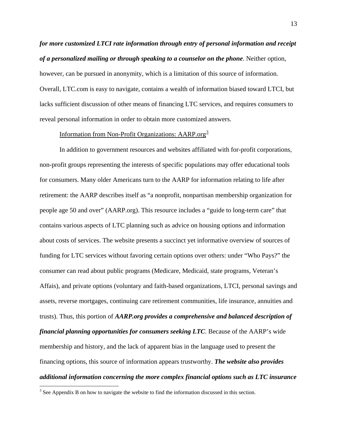<span id="page-13-0"></span>*for more customized LTCI rate information through entry of personal information and receipt of a personalized mailing or through speaking to a counselor on the phone*. Neither option, however, can be pursued in anonymity, which is a limitation of this source of information. Overall, LTC.com is easy to navigate, contains a wealth of information biased toward LTCI, but lacks sufficient discussion of other means of financing LTC services, and requires consumers to reveal personal information in order to obtain more customized answers.

## Information from Non-Profit Organizations:  $AARP.org^3$  $AARP.org^3$

 In addition to government resources and websites affiliated with for-profit corporations, non-profit groups representing the interests of specific populations may offer educational tools for consumers. Many older Americans turn to the AARP for information relating to life after retirement: the AARP describes itself as "a nonprofit, nonpartisan membership organization for people age 50 and over" (AARP.org). This resource includes a "guide to long-term care" that contains various aspects of LTC planning such as advice on housing options and information about costs of services. The website presents a succinct yet informative overview of sources of funding for LTC services without favoring certain options over others: under "Who Pays?" the consumer can read about public programs (Medicare, Medicaid, state programs, Veteran's Affais), and private options (voluntary and faith-based organizations, LTCI, personal savings and assets, reverse mortgages, continuing care retirement communities, life insurance, annuities and trusts). Thus, this portion of *AARP.org provides a comprehensive and balanced description of financial planning opportunities for consumers seeking LTC*. Because of the AARP's wide membership and history, and the lack of apparent bias in the language used to present the financing options, this source of information appears trustworthy. *The website also provides additional information concerning the more complex financial options such as LTC insurance* 

 $\overline{a}$ 

 $3$  See Appendix B on how to navigate the website to find the information discussed in this section.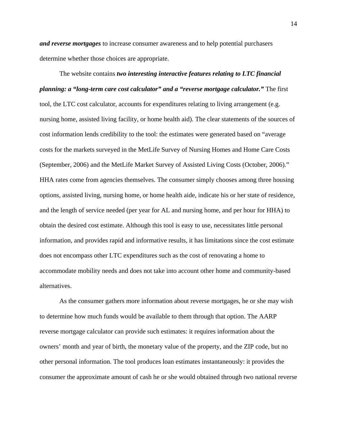*and reverse mortgages* to increase consumer awareness and to help potential purchasers determine whether those choices are appropriate.

 The website contains *two interesting interactive features relating to LTC financial planning: a "long-term care cost calculator" and a "reverse mortgage calculator."* The first tool, the LTC cost calculator, accounts for expenditures relating to living arrangement (e.g. nursing home, assisted living facility, or home health aid). The clear statements of the sources of cost information lends credibility to the tool: the estimates were generated based on "average costs for the markets surveyed in the MetLife Survey of Nursing Homes and Home Care Costs (September, 2006) and the MetLife Market Survey of Assisted Living Costs (October, 2006)." HHA rates come from agencies themselves. The consumer simply chooses among three housing options, assisted living, nursing home, or home health aide, indicate his or her state of residence, and the length of service needed (per year for AL and nursing home, and per hour for HHA) to obtain the desired cost estimate. Although this tool is easy to use, necessitates little personal information, and provides rapid and informative results, it has limitations since the cost estimate does not encompass other LTC expenditures such as the cost of renovating a home to accommodate mobility needs and does not take into account other home and community-based alternatives.

As the consumer gathers more information about reverse mortgages, he or she may wish to determine how much funds would be available to them through that option. The AARP reverse mortgage calculator can provide such estimates: it requires information about the owners' month and year of birth, the monetary value of the property, and the ZIP code, but no other personal information. The tool produces loan estimates instantaneously: it provides the consumer the approximate amount of cash he or she would obtained through two national reverse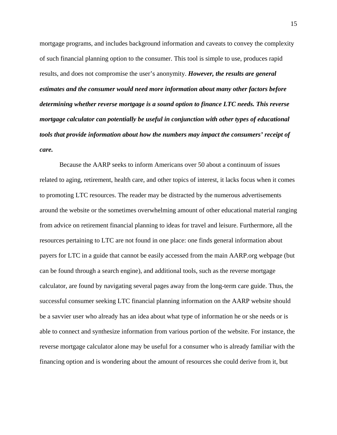mortgage programs, and includes background information and caveats to convey the complexity of such financial planning option to the consumer. This tool is simple to use, produces rapid results, and does not compromise the user's anonymity. *However, the results are general estimates and the consumer would need more information about many other factors before determining whether reverse mortgage is a sound option to finance LTC needs. This reverse mortgage calculator can potentially be useful in conjunction with other types of educational tools that provide information about how the numbers may impact the consumers' receipt of care.*

 Because the AARP seeks to inform Americans over 50 about a continuum of issues related to aging, retirement, health care, and other topics of interest, it lacks focus when it comes to promoting LTC resources. The reader may be distracted by the numerous advertisements around the website or the sometimes overwhelming amount of other educational material ranging from advice on retirement financial planning to ideas for travel and leisure. Furthermore, all the resources pertaining to LTC are not found in one place: one finds general information about payers for LTC in a guide that cannot be easily accessed from the main AARP.org webpage (but can be found through a search engine), and additional tools, such as the reverse mortgage calculator, are found by navigating several pages away from the long-term care guide. Thus, the successful consumer seeking LTC financial planning information on the AARP website should be a savvier user who already has an idea about what type of information he or she needs or is able to connect and synthesize information from various portion of the website. For instance, the reverse mortgage calculator alone may be useful for a consumer who is already familiar with the financing option and is wondering about the amount of resources she could derive from it, but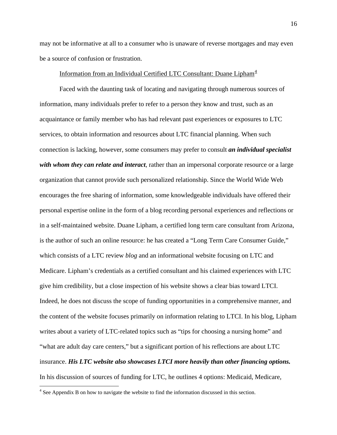<span id="page-16-0"></span>may not be informative at all to a consumer who is unaware of reverse mortgages and may even be a source of confusion or frustration.

## Information from an Individual Certified LTC Consultant: Duane Lipham $4$

 Faced with the daunting task of locating and navigating through numerous sources of information, many individuals prefer to refer to a person they know and trust, such as an acquaintance or family member who has had relevant past experiences or exposures to LTC services, to obtain information and resources about LTC financial planning. When such connection is lacking, however, some consumers may prefer to consult *an individual specialist with whom they can relate and interact*, rather than an impersonal corporate resource or a large organization that cannot provide such personalized relationship. Since the World Wide Web encourages the free sharing of information, some knowledgeable individuals have offered their personal expertise online in the form of a blog recording personal experiences and reflections or in a self-maintained website. Duane Lipham, a certified long term care consultant from Arizona, is the author of such an online resource: he has created a "Long Term Care Consumer Guide," which consists of a LTC review *blog* and an informational website focusing on LTC and Medicare. Lipham's credentials as a certified consultant and his claimed experiences with LTC give him credibility, but a close inspection of his website shows a clear bias toward LTCI. Indeed, he does not discuss the scope of funding opportunities in a comprehensive manner, and the content of the website focuses primarily on information relating to LTCI. In his blog, Lipham writes about a variety of LTC-related topics such as "tips for choosing a nursing home" and "what are adult day care centers," but a significant portion of his reflections are about LTC insurance. *His LTC website also showcases LTCI more heavily than other financing options.* In his discussion of sources of funding for LTC, he outlines 4 options: Medicaid, Medicare,

 $\overline{a}$ 

<sup>&</sup>lt;sup>4</sup> See Appendix B on how to navigate the website to find the information discussed in this section.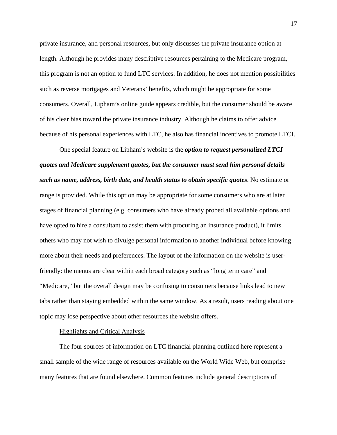private insurance, and personal resources, but only discusses the private insurance option at length. Although he provides many descriptive resources pertaining to the Medicare program, this program is not an option to fund LTC services. In addition, he does not mention possibilities such as reverse mortgages and Veterans' benefits, which might be appropriate for some consumers. Overall, Lipham's online guide appears credible, but the consumer should be aware of his clear bias toward the private insurance industry. Although he claims to offer advice because of his personal experiences with LTC, he also has financial incentives to promote LTCI.

One special feature on Lipham's website is the *option to request personalized LTCI quotes and Medicare supplement quotes, but the consumer must send him personal details such as name, address, birth date, and health status to obtain specific quotes*. No estimate or range is provided. While this option may be appropriate for some consumers who are at later stages of financial planning (e.g. consumers who have already probed all available options and have opted to hire a consultant to assist them with procuring an insurance product), it limits others who may not wish to divulge personal information to another individual before knowing more about their needs and preferences. The layout of the information on the website is userfriendly: the menus are clear within each broad category such as "long term care" and "Medicare," but the overall design may be confusing to consumers because links lead to new tabs rather than staying embedded within the same window. As a result, users reading about one topic may lose perspective about other resources the website offers.

#### Highlights and Critical Analysis

The four sources of information on LTC financial planning outlined here represent a small sample of the wide range of resources available on the World Wide Web, but comprise many features that are found elsewhere. Common features include general descriptions of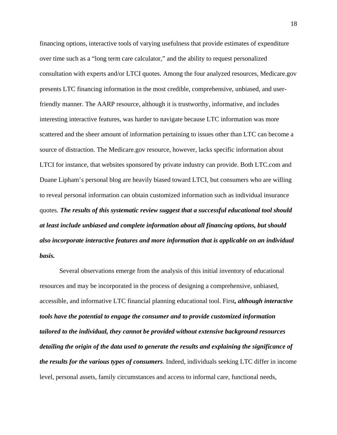financing options, interactive tools of varying usefulness that provide estimates of expenditure over time such as a "long term care calculator," and the ability to request personalized consultation with experts and/or LTCI quotes. Among the four analyzed resources, Medicare.gov presents LTC financing information in the most credible, comprehensive, unbiased, and userfriendly manner. The AARP resource, although it is trustworthy, informative, and includes interesting interactive features, was harder to navigate because LTC information was more scattered and the sheer amount of information pertaining to issues other than LTC can become a source of distraction. The Medicare.gov resource, however, lacks specific information about LTCI for instance, that websites sponsored by private industry can provide. Both LTC.com and Duane Lipham's personal blog are heavily biased toward LTCI, but consumers who are willing to reveal personal information can obtain customized information such as individual insurance quotes. *The results of this systematic review suggest that a successful educational tool should at least include unbiased and complete information about all financing options, but should also incorporate interactive features and more information that is applicable on an individual basis.*

 Several observations emerge from the analysis of this initial inventory of educational resources and may be incorporated in the process of designing a comprehensive, unbiased, accessible, and informative LTC financial planning educational tool. First*, although interactive tools have the potential to engage the consumer and to provide customized information tailored to the individual, they cannot be provided without extensive background resources detailing the origin of the data used to generate the results and explaining the significance of the results for the various types of consumers*. Indeed, individuals seeking LTC differ in income level, personal assets, family circumstances and access to informal care, functional needs,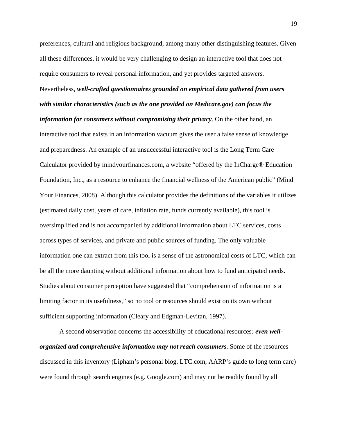preferences, cultural and religious background, among many other distinguishing features. Given all these differences, it would be very challenging to design an interactive tool that does not require consumers to reveal personal information, and yet provides targeted answers. Nevertheless, *well-crafted questionnaires grounded on empirical data gathered from users with similar characteristics (such as the one provided on Medicare.gov) can focus the information for consumers without compromising their privacy*. On the other hand, an interactive tool that exists in an information vacuum gives the user a false sense of knowledge and preparedness. An example of an unsuccessful interactive tool is the Long Term Care Calculator provided by mindyourfinances.com, a website "offered by the InCharge® Education Foundation, Inc., as a resource to enhance the financial wellness of the American public" (Mind Your Finances, 2008). Although this calculator provides the definitions of the variables it utilizes (estimated daily cost, years of care, inflation rate, funds currently available), this tool is oversimplified and is not accompanied by additional information about LTC services, costs across types of services, and private and public sources of funding. The only valuable information one can extract from this tool is a sense of the astronomical costs of LTC, which can be all the more daunting without additional information about how to fund anticipated needs. Studies about consumer perception have suggested that "comprehension of information is a limiting factor in its usefulness," so no tool or resources should exist on its own without sufficient supporting information (Cleary and Edgman-Levitan, 1997).

 A second observation concerns the accessibility of educational resources*: even wellorganized and comprehensive information may not reach consumers*. Some of the resources discussed in this inventory (Lipham's personal blog, LTC.com, AARP's guide to long term care) were found through search engines (e.g. Google.com) and may not be readily found by all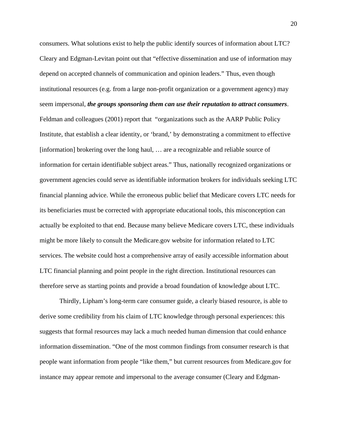consumers. What solutions exist to help the public identify sources of information about LTC? Cleary and Edgman-Levitan point out that "effective dissemination and use of information may depend on accepted channels of communication and opinion leaders." Thus, even though institutional resources (e.g. from a large non-profit organization or a government agency) may seem impersonal, *the groups sponsoring them can use their reputation to attract consumers*. Feldman and colleagues (2001) report that "organizations such as the AARP Public Policy Institute, that establish a clear identity, or 'brand,' by demonstrating a commitment to effective [information] brokering over the long haul, … are a recognizable and reliable source of information for certain identifiable subject areas." Thus, nationally recognized organizations or government agencies could serve as identifiable information brokers for individuals seeking LTC financial planning advice. While the erroneous public belief that Medicare covers LTC needs for its beneficiaries must be corrected with appropriate educational tools, this misconception can actually be exploited to that end. Because many believe Medicare covers LTC, these individuals might be more likely to consult the Medicare.gov website for information related to LTC services. The website could host a comprehensive array of easily accessible information about LTC financial planning and point people in the right direction. Institutional resources can therefore serve as starting points and provide a broad foundation of knowledge about LTC.

Thirdly, Lipham's long-term care consumer guide, a clearly biased resource, is able to derive some credibility from his claim of LTC knowledge through personal experiences: this suggests that formal resources may lack a much needed human dimension that could enhance information dissemination. "One of the most common findings from consumer research is that people want information from people "like them," but current resources from Medicare.gov for instance may appear remote and impersonal to the average consumer (Cleary and Edgman-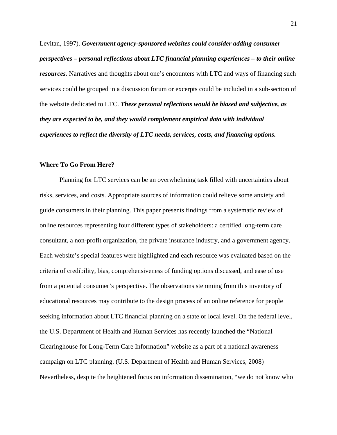Levitan, 1997). *Government agency-sponsored websites could consider adding consumer perspectives – personal reflections about LTC financial planning experiences – to their online resources.* Narratives and thoughts about one's encounters with LTC and ways of financing such services could be grouped in a discussion forum or excerpts could be included in a sub-section of the website dedicated to LTC. *These personal reflections would be biased and subjective, as they are expected to be, and they would complement empirical data with individual experiences to reflect the diversity of LTC needs, services, costs, and financing options.*

#### **Where To Go From Here?**

 Planning for LTC services can be an overwhelming task filled with uncertainties about risks, services, and costs. Appropriate sources of information could relieve some anxiety and guide consumers in their planning. This paper presents findings from a systematic review of online resources representing four different types of stakeholders: a certified long-term care consultant, a non-profit organization, the private insurance industry, and a government agency. Each website's special features were highlighted and each resource was evaluated based on the criteria of credibility, bias, comprehensiveness of funding options discussed, and ease of use from a potential consumer's perspective. The observations stemming from this inventory of educational resources may contribute to the design process of an online reference for people seeking information about LTC financial planning on a state or local level. On the federal level, the U.S. Department of Health and Human Services has recently launched the "National Clearinghouse for Long-Term Care Information" website as a part of a national awareness campaign on LTC planning. (U.S. Department of Health and Human Services, 2008) Nevertheless, despite the heightened focus on information dissemination, "we do not know who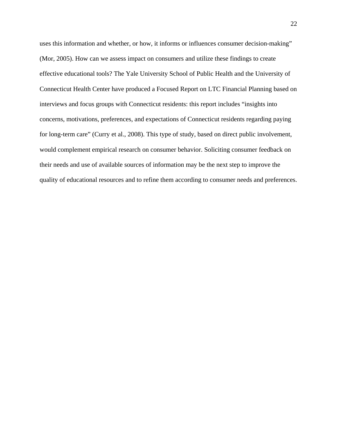uses this information and whether, or how, it informs or influences consumer decision-making" (Mor, 2005). How can we assess impact on consumers and utilize these findings to create effective educational tools? The Yale University School of Public Health and the University of Connecticut Health Center have produced a Focused Report on LTC Financial Planning based on interviews and focus groups with Connecticut residents: this report includes "insights into concerns, motivations, preferences, and expectations of Connecticut residents regarding paying for long-term care" (Curry et al., 2008). This type of study, based on direct public involvement, would complement empirical research on consumer behavior. Soliciting consumer feedback on their needs and use of available sources of information may be the next step to improve the quality of educational resources and to refine them according to consumer needs and preferences.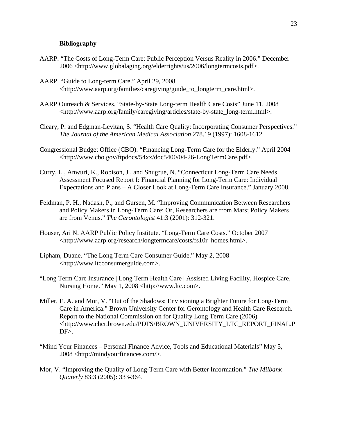#### **Bibliography**

- AARP. "The Costs of Long-Term Care: Public Perception Versus Reality in 2006." December 2006 <[http://www.globalaging.org/elderrights/us/2006/longtermcosts.pdf>](http://www.globalaging.org/elderrights/us/2006/longtermcosts.pdf).
- AARP. "Guide to Long-term Care." April 29, 2008 <[http://www.aarp.org/families/caregiving/guide\\_to\\_longterm\\_care.html>](http://www.aarp.org/families/caregiving/guide_to_longterm_care.html).
- AARP Outreach & Services. "State-by-State Long-term Health Care Costs" June 11, 2008 <http://www.aarp.org/family/caregiving/articles/state-by-state\_long-term.html>.
- Cleary, P. and Edgman-Levitan, S. "Health Care Quality: Incorporating Consumer Perspectives." *The Journal of the American Medical Association* 278.19 (1997): 1608-1612.
- Congressional Budget Office (CBO). "Financing Long-Term Care for the Elderly." April 2004 <http://www.cbo.gov/ftpdocs/54xx/doc5400/04-26-LongTermCare.pdf>.
- Curry, L., Anwuri, K., Robison, J., and Shugrue, N. "Connecticut Long-Term Care Needs Assessment Focused Report I: Financial Planning for Long-Term Care: Individual Expectations and Plans – A Closer Look at Long-Term Care Insurance." January 2008.
- Feldman, P. H., Nadash, P., and Gursen, M. "Improving Communication Between Researchers and Policy Makers in Long-Term Care: Or, Researchers are from Mars; Policy Makers are from Venus." *The Gerontologist* 41:3 (2001): 312-321.
- Houser, Ari N. AARP Public Policy Institute. "Long-Term Care Costs." October 2007 <http://www.aarp.org/research/longtermcare/costs/fs10r\_homes.html>.
- Lipham, Duane. "The Long Term Care Consumer Guide." May 2, 2008 <http://www.ltcconsumerguide.com>.
- "Long Term Care Insurance | Long Term Health Care | Assisted Living Facility, Hospice Care, Nursing Home." May 1, 2008 <http://www.ltc.com>.
- Miller, E. A. and Mor, V. "Out of the Shadows: Envisioning a Brighter Future for Long-Term Care in America." Brown University Center for Gerontology and Health Care Research. Report to the National Commission on for Quality Long Term Care (2006) <h[ttp://www.chcr.brown.edu/PDFS/BROWN\\_UNIVERSITY\\_LTC\\_REPORT\\_FINAL.P](http://www.chcr.brown.edu/PDFS/BROWN_UNIVERSITY_LTC_REPORT_FINAL.PDF)  $DF$ .
- "Mind Your Finances Personal Finance Advice, Tools and Educational Materials" May 5, 2008 <http://mindyourfinances.com/>.
- Mor, V. "Improving the Quality of Long-Term Care with Better Information." *The Milbank Quaterly* 83:3 (2005): 333-364.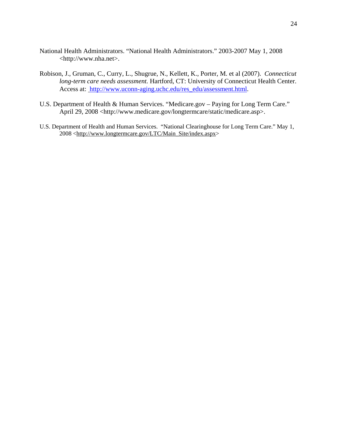- National Health Administrators. "National Health Administrators." 2003-2007 May 1, 2008 <http://www.nha.net>.
- Robison, J., Gruman, C., Curry, L., Shugrue, N., Kellett, K., Porter, M. et al (2007). *Connecticut long-term care needs assessment.* Hartford, CT: University of Connecticut Health Center. Access at: [http://www.uconn-aging.uchc.edu/res\\_edu/assessment.html.](http://www.uconn-aging.uchc.edu/res_edu/assessment.html)
- U.S. Department of Health & Human Services. "Medicare.gov Paying for Long Term Care." April 29, 2008 <http://www.medicare.gov/longtermcare/static/medicare.asp>.
- U.S. Department of Health and Human Services. "National Clearinghouse for Long Term Care." May 1, 2008 <[http://www.longtermcare.gov/LTC/Main\\_Site/index.aspx](http://www.longtermcare.gov/LTC/Main_Site/index.aspx)>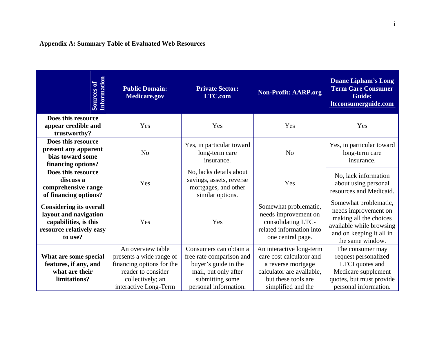## **Appendix A: Summary Table of Evaluated Web Resources**

| Information<br>Sources of                                                                                               | <b>Public Domain:</b><br><b>Medicare.gov</b>                                                                                                  | <b>Private Sector:</b><br><b>LTC.com</b>                                                                                                       | <b>Non-Profit: AARP.org</b>                                                                                                                          | <b>Duane Lipham's Long</b><br><b>Term Care Consumer</b><br><b>Guide:</b><br>Itcconsumerguide.com                                                    |
|-------------------------------------------------------------------------------------------------------------------------|-----------------------------------------------------------------------------------------------------------------------------------------------|------------------------------------------------------------------------------------------------------------------------------------------------|------------------------------------------------------------------------------------------------------------------------------------------------------|-----------------------------------------------------------------------------------------------------------------------------------------------------|
| Does this resource<br>appear credible and<br>trustworthy?                                                               | Yes                                                                                                                                           | Yes                                                                                                                                            | Yes                                                                                                                                                  | Yes                                                                                                                                                 |
| Does this resource<br>present any apparent<br>bias toward some<br>financing options?                                    | No                                                                                                                                            | Yes, in particular toward<br>long-term care<br>insurance.                                                                                      | N <sub>o</sub>                                                                                                                                       | Yes, in particular toward<br>long-term care<br>insurance.                                                                                           |
| Does this resource<br>discuss a<br>comprehensive range<br>of financing options?                                         | Yes                                                                                                                                           | No, lacks details about<br>savings, assets, reverse<br>mortgages, and other<br>similar options.                                                | Yes                                                                                                                                                  | No, lack information<br>about using personal<br>resources and Medicaid.                                                                             |
| <b>Considering its overall</b><br>layout and navigation<br>capabilities, is this<br>resource relatively easy<br>to use? | Yes                                                                                                                                           | Yes                                                                                                                                            | Somewhat problematic,<br>needs improvement on<br>consolidating LTC-<br>related information into<br>one central page.                                 | Somewhat problematic,<br>needs improvement on<br>making all the choices<br>available while browsing<br>and on keeping it all in<br>the same window. |
| What are some special<br>features, if any, and<br>what are their<br>limitations?                                        | An overview table<br>presents a wide range of<br>financing options for the<br>reader to consider<br>collectively; an<br>interactive Long-Term | Consumers can obtain a<br>free rate comparison and<br>buyer's guide in the<br>mail, but only after<br>submitting some<br>personal information. | An interactive long-term<br>care cost calculator and<br>a reverse mortgage<br>calculator are available,<br>but these tools are<br>simplified and the | The consumer may<br>request personalized<br>LTCI quotes and<br>Medicare supplement<br>quotes, but must provide<br>personal information.             |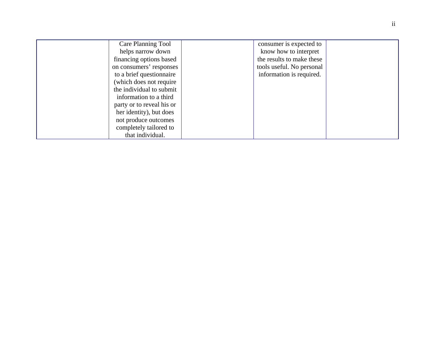| Care Planning Tool        | consumer is expected to   |  |
|---------------------------|---------------------------|--|
| helps narrow down         | know how to interpret     |  |
| financing options based   | the results to make these |  |
| on consumers' responses   | tools useful. No personal |  |
| to a brief questionnaire  | information is required.  |  |
| (which does not require)  |                           |  |
| the individual to submit  |                           |  |
| information to a third    |                           |  |
| party or to reveal his or |                           |  |
| her identity), but does   |                           |  |
| not produce outcomes      |                           |  |
| completely tailored to    |                           |  |
| that individual.          |                           |  |
|                           |                           |  |